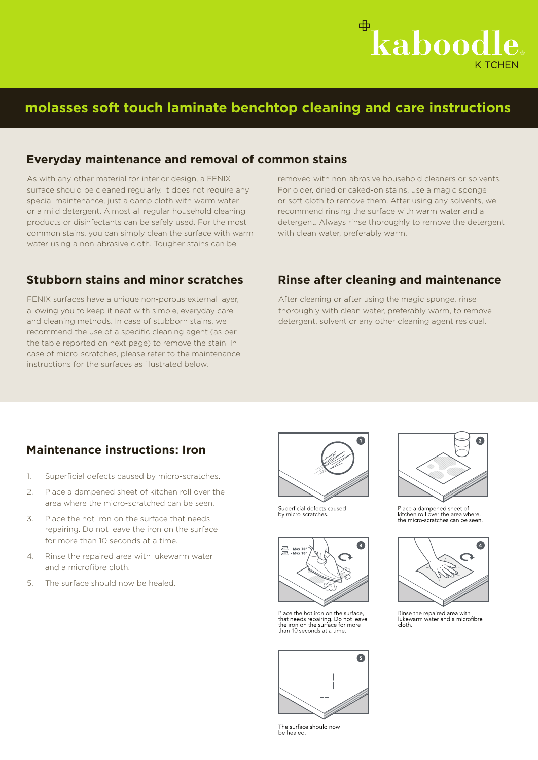

# **molasses soft touch laminate benchtop cleaning and care instructions**

#### **Everyday maintenance and removal of common stains**

As with any other material for interior design, a FENIX surface should be cleaned regularly. It does not require any special maintenance, just a damp cloth with warm water or a mild detergent. Almost all regular household cleaning products or disinfectants can be safely used. For the most common stains, you can simply clean the surface with warm water using a non-abrasive cloth. Tougher stains can be

FENIX surfaces have a unique non-porous external layer, allowing you to keep it neat with simple, everyday care and cleaning methods. In case of stubborn stains, we recommend the use of a specific cleaning agent (as per the table reported on next page) to remove the stain. In case of micro-scratches, please refer to the maintenance instructions for the surfaces as illustrated below.

#### **Stubborn stains and minor scratches Rinse after cleaning and maintenance**

with clean water, preferably warm.

removed with non-abrasive household cleaners or solvents. For older, dried or caked-on stains, use a magic sponge or soft cloth to remove them. After using any solvents, we recommend rinsing the surface with warm water and a detergent. Always rinse thoroughly to remove the detergent

After cleaning or after using the magic sponge, rinse thoroughly with clean water, preferably warm, to remove detergent, solvent or any other cleaning agent residual.

#### **Maintenance instructions: Iron**

- 1. Superficial defects caused by micro-scratches.
- 2. Place a dampened sheet of kitchen roll over the area where the micro-scratched can be seen.
- 3. Place the hot iron on the surface that needs repairing. Do not leave the iron on the surface for more than 10 seconds at a time.
- 4. Rinse the repaired area with lukewarm water and a microfibre cloth.
- 5. The surface should now be healed.



Superficial defects caused<br>by micro-scratches.



Place the hot iron on the surface, that needs repairing. Do not leave<br>the iron on the surface for more<br>than 10 seconds at a time.



The surface should now<br>be healed.



Place a dampened sheet of<br>kitchen roll over the area where,<br>the micro-scratches can be seen.



Rinse the repaired area with lukewarm water and a microfibre  $dot$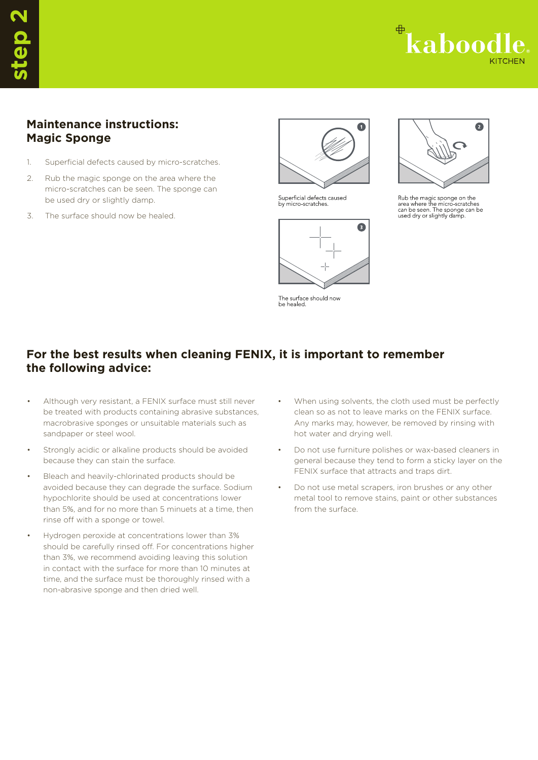

### **Maintenance instructions: Magic Sponge**

- 1. Superficial defects caused by micro-scratches.
- 2. Rub the magic sponge on the area where the micro-scratches can be seen. The sponge can be used dry or slightly damp.
- 3. The surface should now be healed.



Superficial defects caused<br>by micro-scratches.



The surface should now<br>be healed.



Rub the magic sponge on the<br>area where the micro-scratches<br>can be seen. The sponge can be<br>used dry or slightly damp.

## **For the best results when cleaning FENIX, it is important to remember the following advice:**

- Although very resistant, a FENIX surface must still never be treated with products containing abrasive substances, macrobrasive sponges or unsuitable materials such as sandpaper or steel wool.
- Strongly acidic or alkaline products should be avoided because they can stain the surface.
- Bleach and heavily-chlorinated products should be avoided because they can degrade the surface. Sodium hypochlorite should be used at concentrations lower than 5%, and for no more than 5 minuets at a time, then rinse off with a sponge or towel.
- Hydrogen peroxide at concentrations lower than 3% should be carefully rinsed off. For concentrations higher than 3%, we recommend avoiding leaving this solution in contact with the surface for more than 10 minutes at time, and the surface must be thoroughly rinsed with a non-abrasive sponge and then dried well.
- When using solvents, the cloth used must be perfectly clean so as not to leave marks on the FENIX surface. Any marks may, however, be removed by rinsing with hot water and drying well.
- Do not use furniture polishes or wax-based cleaners in general because they tend to form a sticky layer on the FENIX surface that attracts and traps dirt.
- Do not use metal scrapers, iron brushes or any other metal tool to remove stains, paint or other substances from the surface.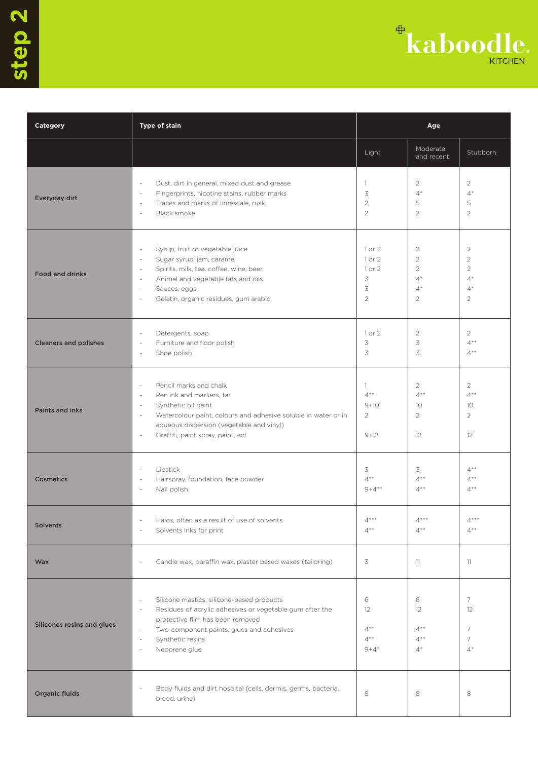

| Category                     | Type of stain                                                                                                                                                                                                                                                                                    | Age                                            |                                                                                      |                                                                                      |
|------------------------------|--------------------------------------------------------------------------------------------------------------------------------------------------------------------------------------------------------------------------------------------------------------------------------------------------|------------------------------------------------|--------------------------------------------------------------------------------------|--------------------------------------------------------------------------------------|
|                              |                                                                                                                                                                                                                                                                                                  | Light                                          | Moderate<br>and recent                                                               | Stubborn                                                                             |
| Everyday dirt                | Dust, dirt in general, mixed dust and grease<br>$\sim$<br>Fingerprints, nicotine stains, rubber marks<br>$\sim$<br>Traces and marks of limescale, rusk<br>$\sim$<br>Black smoke<br>$\sim$                                                                                                        | $\mathbf{1}$<br>3<br>$\overline{2}$<br>2       | $\overline{2}$<br>$4*$<br>5<br>2                                                     | $\overline{2}$<br>$4*$<br>5<br>$\overline{2}$                                        |
| <b>Food and drinks</b>       | Syrup, fruit or vegetable juice<br>$\sim$<br>Sugar syrup, jam, caramel<br>$\sim$<br>Spirits, milk, tea, coffee, wine, beer<br>$\sim$<br>Animal and vegetable fats and oils<br>$\sim$<br>Sauces, eggs<br>$\sim$<br>Gelatin, organic residues, gum arabic<br>÷,                                    | 1 or 2<br>1 or 2<br>1 or 2<br>3<br>3<br>2      | $\overline{2}$<br>$\overline{2}$<br>$\overline{2}$<br>$4*$<br>$4*$<br>$\overline{2}$ | $\overline{2}$<br>$\overline{2}$<br>$\overline{2}$<br>$4*$<br>$4*$<br>$\overline{2}$ |
| <b>Cleaners and polishes</b> | $\sim$<br>Detergents, soap<br>Furniture and floor polish<br>$\sim$<br>Shoe polish<br>÷,                                                                                                                                                                                                          | 1 or 2<br>3<br>3                               | $\overline{2}$<br>3<br>3                                                             | $\overline{2}$<br>$4**$<br>$4***$                                                    |
| <b>Paints and inks</b>       | Pencil marks and chalk<br>$\sim$<br>Pen ink and markers, tar<br>$\overline{\phantom{a}}$<br>Synthetic oil paint<br>$\sim$<br>Watercolour paint, colours and adhesive soluble in water or in<br>$\sim$<br>aqueous dispersion (vegetable and vinyl)<br>Graffiti, paint spray, paint, ect<br>$\sim$ | $\mathbb{1}$<br>$4**$<br>$9+10$<br>2<br>$9+12$ | $\overline{2}$<br>$4**$<br>10<br>$\overline{2}$<br>12                                | $\overline{2}$<br>$4**$<br>10<br>$\overline{2}$<br>12                                |
| <b>Cosmetics</b>             | Lipstick<br>$\sim$<br>Hairspray, foundation, face powder<br>$\sim$<br>Nail polish<br>$\sim$                                                                                                                                                                                                      | 3<br>$4**$<br>$9+4**$                          | 3<br>$4**$<br>$4**$                                                                  | $4**$<br>$4**$<br>$4^{\ast\ast}$                                                     |
| <b>Solvents</b>              | Halos, often as a result of use of solvents<br>Solvents inks for print<br>÷,                                                                                                                                                                                                                     | $4***$<br>$4**$                                | $4***$<br>$4**$                                                                      | $4***$<br>$4***$                                                                     |
| <b>Wax</b>                   | Candle wax, paraffin wax, plaster based waxes (tailoring)                                                                                                                                                                                                                                        | 3                                              | 11                                                                                   | 11                                                                                   |
| Silicones resins and glues   | Silicone mastics, silicone-based products<br>$\sim$<br>Residues of acrylic adhesives or vegetable gum after the<br>$\sim$<br>protective film has been removed<br>Two-component paints, glues and adhesives<br>$\sim$<br>Synthetic resins<br>$\sim$<br>Neoprene glue<br>$\sim$                    | 6<br>12<br>$4**$<br>$4**$<br>$9 + 4*$          | 6<br>12<br>$4**$<br>$4**$<br>$4^*$                                                   | 7<br>12<br>7<br>7<br>$4^*$                                                           |
| Organic fluids               | Body fluids and dirt hospital (cells, dermis, germs, bacteria,<br>÷,<br>blood, urine)                                                                                                                                                                                                            | 8                                              | 8                                                                                    | 8                                                                                    |